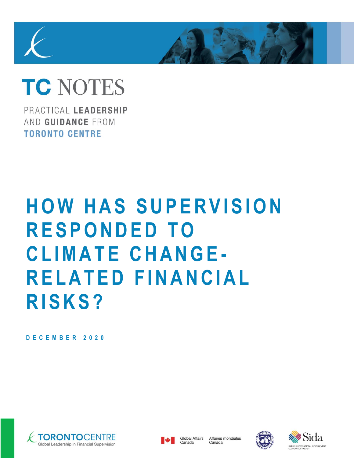# **TC NOTES**

PRACTICAL LEADERSHIP AND GUIDANCE FROM **TORONTO CENTRE** 

# **HOW HAS SUPERVISION R E S P O N D E D T O C L I M A T E C H A N G E - R E L A T E D F I N A N C I A L R I S K S ?**

**D E C E M B E R 2 0 2 0**







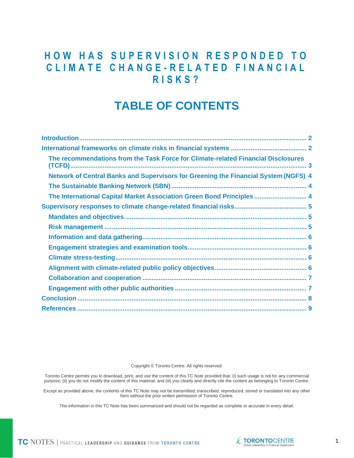## **HOW HAS SUPERVISION RESPONDED TO C L I M A T E C H A N G E - R E L A T E D F I N A N C I A L R I S K S ?**

# **TABLE OF CONTENTS**

| The recommendations from the Task Force for Climate-related Financial Disclosures   |  |
|-------------------------------------------------------------------------------------|--|
| Network of Central Banks and Supervisors for Greening the Financial System (NGFS) 4 |  |
|                                                                                     |  |
| The International Capital Market Association Green Bond Principles  4               |  |
|                                                                                     |  |
|                                                                                     |  |
|                                                                                     |  |
|                                                                                     |  |
|                                                                                     |  |
|                                                                                     |  |
|                                                                                     |  |
|                                                                                     |  |
|                                                                                     |  |
|                                                                                     |  |
|                                                                                     |  |
|                                                                                     |  |

Copyright © Toronto Centre. All rights reserved.

Toronto Centre permits you to download, print, and use the content of this TC Note provided that: (i) such usage is not for any commercial purpose; (ii) you do not modify the content of this material; and (iii) you clearly and directly cite the content as belonging to Toronto Centre.

Except as provided above, the contents of this TC Note may not be transmitted, transcribed, reproduced, stored or translated into any other form without the prior written permission of Toronto Centre.

The information in this TC Note has been summarized and should not be regarded as complete or accurate in every detail.

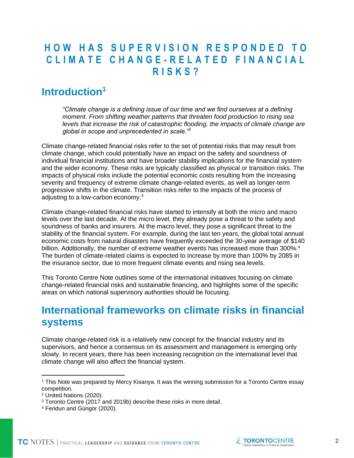# **H O W H A S S U P E R V I S I O N R E S P O N D E D T O C L I M A T E C H A N G E - R E L A T E D F I N A N C I A L R I S K S ?**

# <span id="page-2-0"></span>**Introduction<sup>1</sup>**

*"Climate change is a defining issue of our time and we find ourselves at a defining moment. From shifting weather patterns that threaten food production to rising sea levels that increase the risk of catastrophic flooding, the impacts of climate change are global in scope and unprecedented in scale."<sup>2</sup>*

Climate change-related financial risks refer to the set of potential risks that may result from climate change, which could potentially have an impact on the safety and soundness of individual financial institutions and have broader stability implications for the financial system and the wider economy. These risks are typically classified as physical or transition risks. The impacts of physical risks include the potential economic costs resulting from the increasing severity and frequency of extreme climate change-related events, as well as longer-term progressive shifts in the climate. Transition risks refer to the impacts of the process of adjusting to a low-carbon economy.<sup>3</sup>

Climate change-related financial risks have started to intensify at both the micro and macro levels over the last decade. At the micro level, they already pose a threat to the safety and soundness of banks and insurers. At the macro level, they pose a significant threat to the stability of the financial system. For example, during the last ten years, the global total annual economic costs from natural disasters have frequently exceeded the 30-year average of \$140 billion. Additionally, the number of extreme weather events has increased more than 300%.<sup>4</sup> The burden of climate-related claims is expected to increase by more than 100% by 2085 in the insurance sector, due to more frequent climate events and rising sea levels.

This Toronto Centre Note outlines some of the international initiatives focusing on climate change-related financial risks and sustainable financing, and highlights some of the specific areas on which national supervisory authorities should be focusing.

# <span id="page-2-1"></span>**International frameworks on climate risks in financial systems**

Climate change-related risk is a relatively new concept for the financial industry and its supervisors, and hence a consensus on its assessment and management is emerging only slowly. In recent years, there has been increasing recognition on the international level that climate change will also affect the financial system.



<sup>1</sup> This Note was prepared by Mercy Kisanya. It was the winning submission for a Toronto Centre essay competition.

<sup>2</sup> United Nations (2020).

<sup>&</sup>lt;sup>3</sup> Toronto Centre (2017 and 2019b) describe these risks in more detail.

<sup>4</sup> Feridun and Güngör (2020).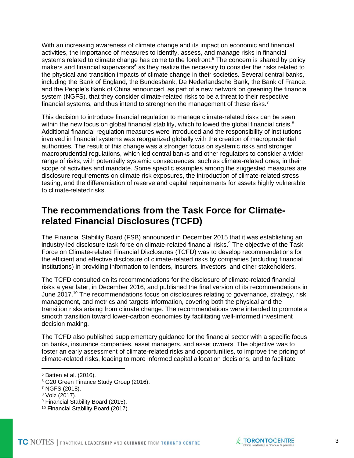With an increasing awareness of climate change and its impact on economic and financial activities, the importance of measures to identify, assess, and manage risks in financial systems related to climate change has come to the forefront.<sup>5</sup> The concern is shared by policy makers and financial supervisors<sup>6</sup> as they realize the necessity to consider the risks related to the physical and transition impacts of climate change in their societies. Several central banks, including the Bank of England, the Bundesbank, De Nederlandsche Bank, the Bank of France, and the People's Bank of China announced, as part of a new network on greening the financial system (NGFS), that they consider climate-related risks to be a threat to their respective financial systems, and thus intend to strengthen the management of these risks.<sup>7</sup>

This decision to introduce financial regulation to manage climate-related risks can be seen within the new focus on global financial stability, which followed the global financial crisis.<sup>8</sup> Additional financial regulation measures were introduced and the responsibility of institutions involved in financial systems was reorganized globally with the creation of macroprudential authorities. The result of this change was a stronger focus on systemic risks and stronger macroprudential regulations, which led central banks and other regulators to consider a wider range of risks, with potentially systemic consequences, such as climate-related ones, in their scope of activities and mandate. Some specific examples among the suggested measures are disclosure requirements on climate risk exposures, the introduction of climate-related stress testing, and the differentiation of reserve and capital requirements for assets highly vulnerable to climate-related risks.

#### <span id="page-3-0"></span>**The recommendations from the Task Force for Climaterelated Financial Disclosures (TCFD)**

The Financial Stability Board (FSB) announced in December 2015 that it was establishing an industry-led disclosure task force on climate-related financial risks.<sup>9</sup> The objective of the Task Force on Climate-related Financial Disclosures (TCFD) was to develop recommendations for the efficient and effective disclosure of climate-related risks by companies (including financial institutions) in providing information to lenders, insurers, investors, and other stakeholders.

The TCFD consulted on its recommendations for the disclosure of climate-related financial risks a year later, in December 2016, and published the final version of its recommendations in June 2017.<sup>10</sup> The recommendations focus on disclosures relating to governance, strategy, risk management, and metrics and targets information, covering both the physical and the transition risks arising from climate change. The recommendations were intended to promote a smooth transition toward lower-carbon economies by facilitating well-informed investment decision making.

The TCFD also published supplementary guidance for the financial sector with a specific focus on banks, insurance companies, asset managers, and asset owners. The objective was to foster an early assessment of climate-related risks and opportunities, to improve the pricing of climate-related risks, leading to more informed capital allocation decisions, and to facilitate

<sup>6</sup> G20 Green Finance Study Group (2016).



<sup>5</sup> Batten et al. (2016).

<sup>7</sup> NGFS (2018).

<sup>8</sup> Volz (2017).

<sup>9</sup> Financial Stability Board (2015).

<sup>10</sup> Financial Stability Board (2017).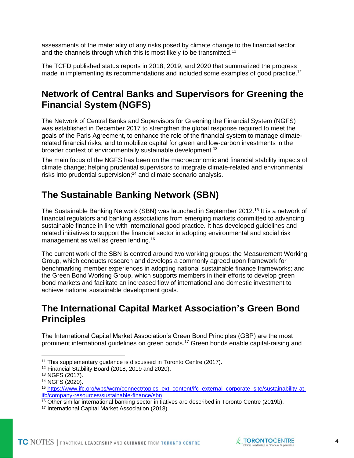assessments of the materiality of any risks posed by climate change to the financial sector, and the channels through which this is most likely to be transmitted.<sup>11</sup>

The TCFD published status reports in 2018, 2019, and 2020 that summarized the progress made in implementing its recommendations and included some examples of good practice.<sup>12</sup>

#### <span id="page-4-0"></span>**Network of Central Banks and Supervisors for Greening the Financial System (NGFS)**

The Network of Central Banks and Supervisors for Greening the Financial System (NGFS) was established in December 2017 to strengthen the global response required to meet the goals of the Paris Agreement, to enhance the role of the financial system to manage climaterelated financial risks, and to mobilize capital for green and low-carbon investments in the broader context of environmentally sustainable development.<sup>13</sup>

The main focus of the NGFS has been on the macroeconomic and financial stability impacts of climate change; helping prudential supervisors to integrate climate-related and environmental risks into prudential supervision; <sup>14</sup> and climate scenario analysis.

#### <span id="page-4-1"></span>**The Sustainable Banking Network (SBN)**

The Sustainable Banking Network (SBN) was launched in September 2012.<sup>15</sup> It is a network of financial regulators and banking associations from emerging markets committed to advancing sustainable finance in line with international good practice. It has developed guidelines and related initiatives to support the financial sector in adopting environmental and social risk management as well as green lending.<sup>16</sup>

The current work of the SBN is centred around two working groups: the Measurement Working Group, which conducts research and develops a commonly agreed upon framework for benchmarking member experiences in adopting national sustainable finance frameworks; and the Green Bond Working Group, which supports members in their efforts to develop green bond markets and facilitate an increased flow of international and domestic investment to achieve national sustainable development goals.

#### <span id="page-4-2"></span>**The International Capital Market Association's Green Bond Principles**

The International Capital Market Association's Green Bond Principles (GBP) are the most prominent international guidelines on green bonds.<sup>17</sup> Green bonds enable capital-raising and



<sup>&</sup>lt;sup>11</sup> This supplementary quidance is discussed in Toronto Centre (2017).

<sup>12</sup> Financial Stability Board (2018, 2019 and 2020).

<sup>13</sup> NGFS (2017).

<sup>14</sup> NGFS (2020).

<sup>15</sup> [https://www.ifc.org/wps/wcm/connect/topics\\_ext\\_content/ifc\\_external\\_corporate\\_site/sustainability-at](https://www.ifc.org/wps/wcm/connect/topics_ext_content/ifc_external_corporate_site/sustainability-at-ifc/company-resources/sustainable-finance/sbn)[ifc/company-resources/sustainable-finance/sbn](https://www.ifc.org/wps/wcm/connect/topics_ext_content/ifc_external_corporate_site/sustainability-at-ifc/company-resources/sustainable-finance/sbn)

<sup>16</sup> Other similar international banking sector initiatives are described in Toronto Centre (2019b).

<sup>17</sup> International Capital Market Association (2018).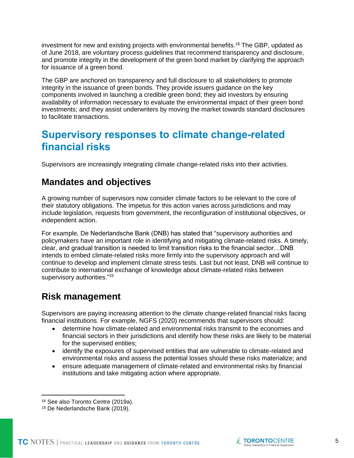investment for new and existing projects with environmental benefits.<sup>18</sup> The GBP, updated as of June 2018, are voluntary process guidelines that recommend transparency and disclosure, and promote integrity in the development of the green bond market by clarifying the approach for issuance of a green bond.

The GBP are anchored on transparency and full disclosure to all stakeholders to promote integrity in the issuance of green bonds. They provide issuers guidance on the key components involved in launching a credible green bond; they aid investors by ensuring availability of information necessary to evaluate the environmental impact of their green bond investments; and they assist underwriters by moving the market towards standard disclosures to facilitate transactions.

### <span id="page-5-0"></span>**Supervisory responses to climate change-related financial risks**

Supervisors are increasingly integrating climate change-related risks into their activities.

#### <span id="page-5-1"></span>**Mandates and objectives**

A growing number of supervisors now consider climate factors to be relevant to the core of their statutory obligations. The impetus for this action varies across jurisdictions and may include legislation, requests from government, the reconfiguration of institutional objectives, or independent action.

For example, De Nederlandsche Bank (DNB) has stated that "supervisory authorities and policymakers have an important role in identifying and mitigating climate-related risks. A timely, clear, and gradual transition is needed to limit transition risks to the financial sector…DNB intends to embed climate-related risks more firmly into the supervisory approach and will continue to develop and implement climate stress tests. Last but not least, DNB will continue to contribute to international exchange of knowledge about climate-related risks between supervisory authorities."<sup>19</sup>

#### <span id="page-5-2"></span>**Risk management**

Supervisors are paying increasing attention to the climate change-related financial risks facing financial institutions. For example, NGFS (2020) recommends that supervisors should:

- determine how climate-related and environmental risks transmit to the economies and financial sectors in their jurisdictions and identify how these risks are likely to be material for the supervised entities;
- identify the exposures of supervised entities that are vulnerable to climate-related and environmental risks and assess the potential losses should these risks materialize; and
- ensure adequate management of climate-related and environmental risks by financial institutions and take mitigating action where appropriate.



<sup>18</sup> See also Toronto Centre (2019a).

<sup>19</sup> De Nederlandsche Bank (2019).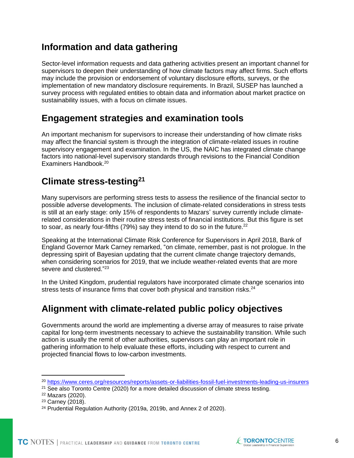#### <span id="page-6-0"></span>**Information and data gathering**

Sector-level information requests and data gathering activities present an important channel for supervisors to deepen their understanding of how climate factors may affect firms. Such efforts may include the provision or endorsement of voluntary disclosure efforts, surveys, or the implementation of new mandatory disclosure requirements. In Brazil, SUSEP has launched a survey process with regulated entities to obtain data and information about market practice on sustainability issues, with a focus on climate issues.

#### <span id="page-6-1"></span>**Engagement strategies and examination tools**

An important mechanism for supervisors to increase their understanding of how climate risks may affect the financial system is through the integration of climate-related issues in routine supervisory engagement and examination. In the US, the NAIC has integrated climate change factors into national-level supervisory standards through revisions to the Financial Condition Examiners Handbook.<sup>20</sup>

#### <span id="page-6-2"></span>**Climate stress-testing<sup>21</sup>**

Many supervisors are performing stress tests to assess the resilience of the financial sector to possible adverse developments. The inclusion of climate-related considerations in stress tests is still at an early stage: only 15% of respondents to Mazars' survey currently include climaterelated considerations in their routine stress tests of financial institutions. But this figure is set to soar, as nearly four-fifths  $(79%)$  say they intend to do so in the future.<sup>22</sup>

Speaking at the International Climate Risk Conference for Supervisors in April 2018, Bank of England Governor Mark Carney remarked, "on climate, remember, past is not prologue. In the depressing spirit of Bayesian updating that the current climate change trajectory demands, when considering scenarios for 2019, that we include weather-related events that are more severe and clustered."<sup>23</sup>

In the United Kingdom, prudential regulators have incorporated climate change scenarios into stress tests of insurance firms that cover both physical and transition risks.<sup>24</sup>

#### <span id="page-6-3"></span>**Alignment with climate-related public policy objectives**

Governments around the world are implementing a diverse array of measures to raise private capital for long-term investments necessary to achieve the sustainability transition. While such action is usually the remit of other authorities, supervisors can play an important role in gathering information to help evaluate these efforts, including with respect to current and projected financial flows to low-carbon investments.



<sup>20</sup> <https://www.ceres.org/resources/reports/assets-or-liabilities-fossil-fuel-investments-leading-us-insurers>

<sup>&</sup>lt;sup>21</sup> See also Toronto Centre (2020) for a more detailed discussion of climate stress testing.

<sup>22</sup> Mazars (2020).

<sup>23</sup> Carney (2018).

<sup>24</sup> Prudential Regulation Authority (2019a, 2019b, and Annex 2 of 2020).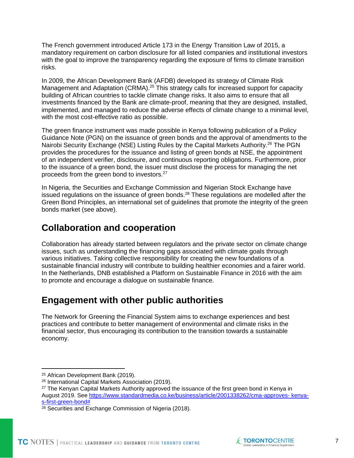The French government introduced Article 173 in the Energy Transition Law of 2015, a mandatory requirement on carbon disclosure for all listed companies and institutional investors with the goal to improve the transparency regarding the exposure of firms to climate transition risks.

In 2009, the African Development Bank (AFDB) developed its strategy of Climate Risk Management and Adaptation (CRMA).<sup>25</sup> This strategy calls for increased support for capacity building of African countries to tackle climate change risks. It also aims to ensure that all investments financed by the Bank are climate-proof, meaning that they are designed, installed, implemented, and managed to reduce the adverse effects of climate change to a minimal level, with the most cost-effective ratio as possible.

The green finance instrument was made possible in Kenya following publication of a Policy Guidance Note (PGN) on the issuance of green bonds and the approval of amendments to the Nairobi Security Exchange (NSE) Listing Rules by the Capital Markets Authority.<sup>26</sup> The PGN provides the procedures for the issuance and listing of green bonds at NSE, the appointment of an independent verifier, disclosure, and continuous reporting obligations. Furthermore, prior to the issuance of a green bond, the issuer must disclose the process for managing the net proceeds from the green bond to investors.<sup>27</sup>

In Nigeria, the Securities and Exchange Commission and Nigerian Stock Exchange have issued regulations on the issuance of green bonds.<sup>28</sup> These regulations are modelled after the Green Bond Principles, an international set of guidelines that promote the integrity of the green bonds market (see above).

#### <span id="page-7-0"></span>**Collaboration and cooperation**

Collaboration has already started between regulators and the private sector on climate change issues, such as understanding the financing gaps associated with climate goals through various initiatives. Taking collective responsibility for creating the new foundations of a sustainable financial industry will contribute to building healthier economies and a fairer world. In the Netherlands, DNB established a Platform on Sustainable Finance in 2016 with the aim to promote and encourage a dialogue on sustainable finance.

#### <span id="page-7-1"></span>**Engagement with other public authorities**

The Network for Greening the Financial System aims to exchange experiences and best practices and contribute to better management of environmental and climate risks in the financial sector, thus encouraging its contribution to the transition towards a sustainable economy.



<sup>&</sup>lt;sup>25</sup> African Development Bank (2019).

<sup>26</sup> International Capital Markets Association (2019).

<sup>&</sup>lt;sup>27</sup> The Kenyan Capital Markets Authority approved the issuance of the first green bond in Kenya in August 2019. See<https://www.standardmedia.co.ke/business/article/2001338262/cma-approves-> [kenya](https://www.standardmedia.co.ke/business/article/2001338262/cma-approves-kenya-s-first-green-bond)[s-first-green-bond#](https://www.standardmedia.co.ke/business/article/2001338262/cma-approves-kenya-s-first-green-bond)

<sup>&</sup>lt;sup>28</sup> Securities and Exchange Commission of Nigeria (2018).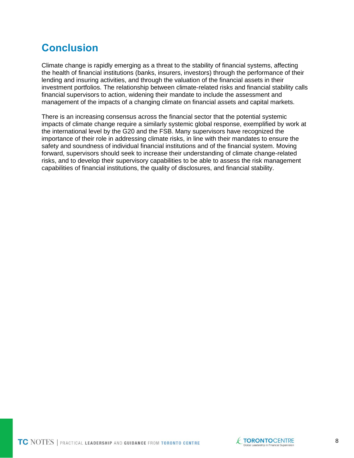# <span id="page-8-0"></span>**Conclusion**

Climate change is rapidly emerging as a threat to the stability of financial systems, affecting the health of financial institutions (banks, insurers, investors) through the performance of their lending and insuring activities, and through the valuation of the financial assets in their investment portfolios. The relationship between climate-related risks and financial stability calls financial supervisors to action, widening their mandate to include the assessment and management of the impacts of a changing climate on financial assets and capital markets.

There is an increasing consensus across the financial sector that the potential systemic impacts of climate change require a similarly systemic global response, exemplified by work at the international level by the G20 and the FSB. Many supervisors have recognized the importance of their role in addressing climate risks, in line with their mandates to ensure the safety and soundness of individual financial institutions and of the financial system. Moving forward, supervisors should seek to increase their understanding of climate change-related risks, and to develop their supervisory capabilities to be able to assess the risk management capabilities of financial institutions, the quality of disclosures, and financial stability.

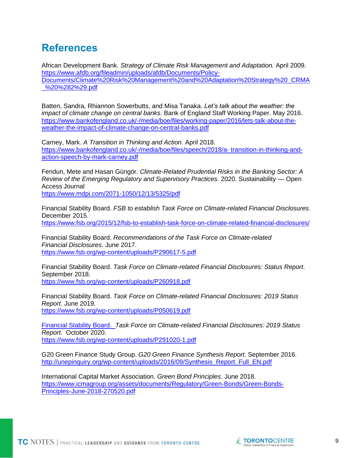# <span id="page-9-0"></span>**References**

African Development Bank*. Strategy of Climate Risk Management and Adaptation.* April 2009. [https://www.afdb.org/fileadmin/uploads/afdb/Documents/Policy-](https://www.afdb.org/fileadmin/uploads/afdb/Documents/Policy-Documents/Climate%20Risk%20Management%20and%20Adaptation%20Strategy%20_CRMA_%20%282%29.pdf)[Documents/Climate%20Risk%20Management%20and%20Adaptation%20Strategy%20\\_CRMA](https://www.afdb.org/fileadmin/uploads/afdb/Documents/Policy-Documents/Climate%20Risk%20Management%20and%20Adaptation%20Strategy%20_CRMA_%20%282%29.pdf) [\\_%20%282%29.pdf](https://www.afdb.org/fileadmin/uploads/afdb/Documents/Policy-Documents/Climate%20Risk%20Management%20and%20Adaptation%20Strategy%20_CRMA_%20%282%29.pdf)

Batten, Sandra, Rhiannon Sowerbutts, and Misa Tanaka. *Let's talk about the weather: the impact of climate change on central banks*. Bank of England Staff Working Paper. May 2016. [https://www.bankofengland.co.uk/-/media/boe/files/working-paper/2016/lets-talk-about-the](https://www.bankofengland.co.uk/-/media/boe/files/working-paper/2016/lets-talk-about-the-weather-the-impact-of-climate-change-on-central-banks.pdf)[weather-the-impact-of-climate-change-on-central-banks.pdf](https://www.bankofengland.co.uk/-/media/boe/files/working-paper/2016/lets-talk-about-the-weather-the-impact-of-climate-change-on-central-banks.pdf)

Carney, Mark. *A Transition in Thinking and Action*. April 2018. <https://www.bankofengland.co.uk/-/media/boe/files/speech/2018/a-> [transition-in-thinking-and](https://www.bankofengland.co.uk/-/media/boe/files/speech/2018/a-transition-in-thinking-and-action-speech-by-mark-carney.pdf)[action-speech-by-mark-carney.pdf](https://www.bankofengland.co.uk/-/media/boe/files/speech/2018/a-transition-in-thinking-and-action-speech-by-mark-carney.pdf)

Feridun, Mete and Hasan Güngör. *Climate-Related Prudential Risks in the Banking Sector: A Review of the Emerging Regulatory and Supervisory Practices.* 2020. Sustainability — Open Access Journal

<https://www.mdpi.com/2071->[1050/12/13/5325/pdf](https://www.mdpi.com/2071-1050/12/13/5325/pdf)

Financial Stability Board. *FSB to establish Task Force on Climate-related Financial Disclosures.* December 2015. <https://www.fsb.org/2015/12/fsb-to-establish-task-force-on-climate-related-financial-disclosures/>

Financial Stability Board. *Recommendations of the Task Force on Climate-related Financial Disclosures*. June 2017. <https://www.fsb.org/wp-content/uploads/P290617-5.pdf>

Financial Stability Board. *Task Force on Climate-related Financial Disclosures: Status Report*. September 2018. <https://www.fsb.org/wp-content/uploads/P260918.pdf>

Financial Stability Board. *Task Force on Climate-related Financial Disclosures: 2019 Status Report*. June 2019. <https://www.fsb.org/wp-content/uploads/P050619.pdf>

Financial Stability Board. *Task Force on Climate-related Financial Disclosures: 2019 Status Report*. October 2020. <https://www.fsb.org/wp-content/uploads/P291020-1.pdf>

G20 Green Finance Study Group. *G20 Green Finance Synthesis Report*. September 2016. [http://unepinquiry.org/wp-content/uploads/2016/09/Synthesis\\_Report\\_Full\\_EN.pdf](http://unepinquiry.org/wp-content/uploads/2016/09/Synthesis_Report_Full_EN.pdf)

International Capital Market Association*. Green Bond Principles*. June 2018. [https://www.icmagroup.org/assets/documents/Regulatory/Green-Bonds/Green-Bonds-](https://www.icmagroup.org/assets/documents/Regulatory/Green-Bonds/Green-Bonds-Principles-June-2018-270520.pdf)[Principles-June-2018-270520.pdf](https://www.icmagroup.org/assets/documents/Regulatory/Green-Bonds/Green-Bonds-Principles-June-2018-270520.pdf)

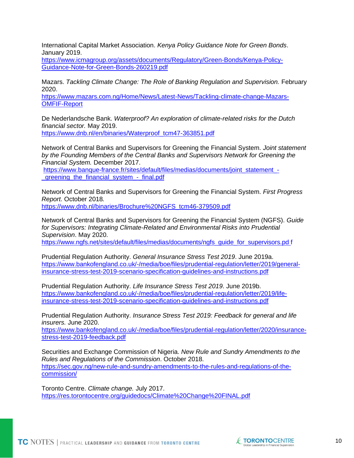International Capital Market Association. *Kenya Policy Guidance Note for Green Bonds*. January 2019.

[https://www.icmagroup.org/assets/documents/Regulatory/Green-Bonds/Kenya-Policy-](https://www.icmagroup.org/assets/documents/Regulatory/Green-Bonds/Kenya-Policy-Guidance-Note-for-Green-Bonds-260219.pdf)[Guidance-Note-for-Green-Bonds-260219.pdf](https://www.icmagroup.org/assets/documents/Regulatory/Green-Bonds/Kenya-Policy-Guidance-Note-for-Green-Bonds-260219.pdf)

Mazars. *Tackling Climate Change: The Role of Banking Regulation and Supervision.* February 2020.

[https://www.mazars.com.ng/Home/News/Latest-News/Tackling-climate-change-Mazars-](https://www.mazars.com.ng/Home/News/Latest-News/Tackling-climate-change-Mazars-OMFIF-Report)[OMFIF-Report](https://www.mazars.com.ng/Home/News/Latest-News/Tackling-climate-change-Mazars-OMFIF-Report)

De Nederlandsche Bank. *Waterproof? An exploration of climate-related risks for the Dutch financial sector.* May 2019. [https://www.dnb.nl/en/binaries/Waterproof\\_tcm47-363851.pdf](https://www.dnb.nl/en/binaries/Waterproof_tcm47-363851.pdf)

Network of Central Banks and Supervisors for Greening the Financial System. *Joint statement by the Founding Members of the Central Banks and Supervisors Network for Greening the Financial System.* December 2017.

[https://www.banque-france.fr/sites/default/files/medias/documents/joint\\_statement\\_](https://www.banque-france.fr/sites/default/files/medias/documents/joint_statement_-_greening_the_financial_system_-_final.pdf) greening\_the\_financial\_system\_-\_final.pdf

Network of Central Banks and Supervisors for Greening the Financial System. *First Progress Report.* October 2018*.* [https://www.dnb.nl/binaries/Brochure%20NGFS\\_tcm46-379509.pdf](https://www.dnb.nl/binaries/Brochure%20NGFS_tcm46-379509.pdf)

Network of Central Banks and Supervisors for Greening the Financial System (NGFS). *Guide for Supervisors: Integrating Climate-Related and Environmental Risks into Prudential Supervision*. May 2020.

[https://www.ngfs.net/sites/default/files/medias/documents/ngfs\\_guide\\_for\\_supervisors.pd f](https://www.ngfs.net/sites/default/files/medias/documents/ngfs_guide_for_supervisors.pdf)

Prudential Regulation Authority. *General Insurance Stress Test 2019*. June 2019a. [https://www.bankofengland.co.uk/-/media/boe/files/prudential-regulation/letter/2019/general](https://www.bankofengland.co.uk/-/media/boe/files/prudential-regulation/letter/2019/general-insurance-stress-test-2019-scenario-specification-guidelines-and-instructions.pdf)[insurance-stress-test-2019-scenario-specification-guidelines-and-instructions.pdf](https://www.bankofengland.co.uk/-/media/boe/files/prudential-regulation/letter/2019/general-insurance-stress-test-2019-scenario-specification-guidelines-and-instructions.pdf)

Prudential Regulation Authority. *Life Insurance Stress Test 2019*. June 2019b. [https://www.bankofengland.co.uk/-/media/boe/files/prudential-regulation/letter/2019/life](https://www.bankofengland.co.uk/-/media/boe/files/prudential-regulation/letter/2019/life-insurance-stress-test-2019-scenario-specification-guidelines-and-instructions.pdf)[insurance-stress-test-2019-scenario-specification-guidelines-and-instructions.pdf](https://www.bankofengland.co.uk/-/media/boe/files/prudential-regulation/letter/2019/life-insurance-stress-test-2019-scenario-specification-guidelines-and-instructions.pdf)

Prudential Regulation Authority. *Insurance Stress Test 2019: Feedback for general and life insurers.* June 2020.

[https://www.bankofengland.co.uk/-/media/boe/files/prudential-regulation/letter/2020/insurance](https://www.bankofengland.co.uk/-/media/boe/files/prudential-regulation/letter/2020/insurance-stress-test-2019-feedback.pdf)[stress-test-2019-feedback.pdf](https://www.bankofengland.co.uk/-/media/boe/files/prudential-regulation/letter/2020/insurance-stress-test-2019-feedback.pdf)

Securities and Exchange Commission of Nigeria. *New Rule and Sundry Amendments to the Rules and Regulations of the Commission*. October 2018. [https://sec.gov.ng/new-rule-and-sundry-amendments-to-the-rules-and-regulations-of-the](https://sec.gov.ng/new-rule-and-sundry-amendments-to-the-rules-and-regulations-of-the-commission/)[commission/](https://sec.gov.ng/new-rule-and-sundry-amendments-to-the-rules-and-regulations-of-the-commission/)

Toronto Centre. *Climate change.* July 2017. <https://res.torontocentre.org/guidedocs/Climate%20Change%20FINAL.pdf>